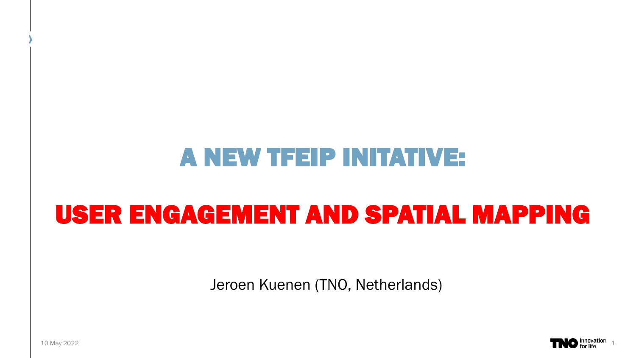## A NEW TFEIP INITATIVE:

# USER ENGAGEMENT AND SPATIAL MAPPING

Jeroen Kuenen (TNO, Netherlands)

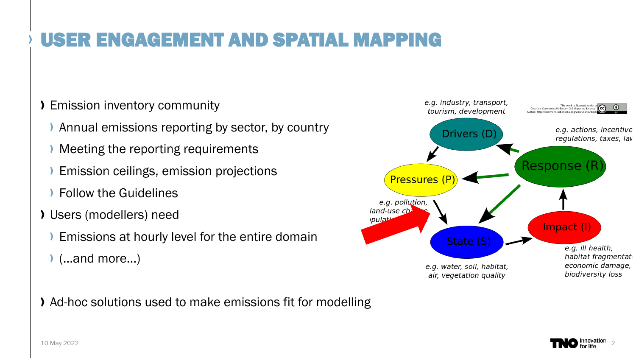### USER ENGAGEMENT AND SPATIAL MAPPING

#### Emission inventory community

- Annual emissions reporting by sector, by country
- Meeting the reporting requirements
- Emission ceilings, emission projections
- Follow the Guidelines
- Users (modellers) need
	- Emissions at hourly level for the entire domain
	- (…and more…)

Ad-hoc solutions used to make emissions fit for modelling



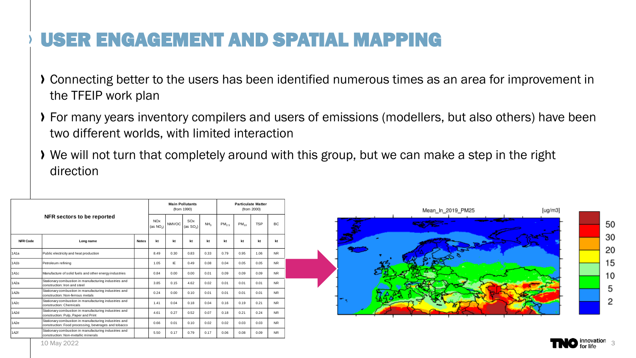#### USER ENGAGEMENT AND SPATIAL MAPPING

- Connecting better to the users has been identified numerous times as an area for improvement in the TFEIP work plan
- For many years inventory compilers and users of emissions (modellers, but also others) have been two different worlds, with limited interaction
- We will not turn that completely around with this group, but we can make a step in the right direction

|                   | NFR sectors to be reported                                                                                    |              |                           | <b>Main Pollutants</b><br>(from 1990) |                    |                 |                   | <b>Particulate Matter</b><br>(from 2000) |            |           |  |
|-------------------|---------------------------------------------------------------------------------------------------------------|--------------|---------------------------|---------------------------------------|--------------------|-----------------|-------------------|------------------------------------------|------------|-----------|--|
|                   |                                                                                                               |              | <b>NOx</b><br>(as $NO2$ ) | <b>NMVOC</b>                          | SOx<br>(as $SO2$ ) | NH <sub>3</sub> | PM <sub>2.5</sub> | $PM_{10}$                                | <b>TSP</b> | BC        |  |
| <b>NFR Code</b>   | Long name                                                                                                     | <b>Notes</b> | kt                        | kt                                    | kt                 | kt              | kt                | kt                                       | kt         | kt        |  |
| 1A1a              | Public electricity and heat production                                                                        |              | 8.49                      | 0.30                                  | 0.83               | 0.33            | 0.79              | 0.95                                     | 1.06       | <b>NR</b> |  |
| 1A1b              | Petroleum refining                                                                                            |              | 1.05                      | IF                                    | 0.49               | 0.08            | 0.04              | 0.05                                     | 0.05       | <b>NR</b> |  |
| 1A1c              | Manufacture of solid fuels and other energy industries                                                        |              | 0.84                      | 0.00                                  | 0.00               | 0.01            | 0.09              | 0.09                                     | 0.09       | <b>NR</b> |  |
| 1A2a              | Stationary combustion in manufacturing industries and<br>construction: Iron and steel                         |              | 3.85                      | 0.15                                  | 4.62               | 0.02            | 0.01              | 0.01                                     | 0.01       | <b>NR</b> |  |
| 1A <sub>2</sub> b | Stationary combustion in manufacturing industries and<br>construction: Non-ferrous metals                     |              | 0.24                      | 0.00                                  | 0.10               | 0.01            | 0.01              | 0.01                                     | 0.01       | <b>NR</b> |  |
| 1A2c              | Stationary combustion in manufacturing industries and<br>construction: Chemicals                              |              | 1.41                      | 0.04                                  | 0.18               | 0.04            | 0.16              | 0.19                                     | 0.21       | <b>NR</b> |  |
| 1A <sub>2</sub> d | Stationary combustion in manufacturing industries and<br>construction: Pulp, Paper and Print                  |              | 4.61                      | 0.27                                  | 0.52               | 0.07            | 0.18              | 0.21                                     | 0.24       | <b>NR</b> |  |
| 1A2e              | Stationary combustion in manufacturing industries and<br>construction: Food processing, beverages and tobacco |              | 0.66                      | 0.01                                  | 0.10               | 0.02            | 0.02              | 0.03                                     | 0.03       | <b>NR</b> |  |
| 1A <sub>2f</sub>  | Stationary combustion in manufacturing industries and<br>construction: Non-metallic minerals                  |              | 5.50                      | 0.17                                  | 0.79               | 0.17            | 0.06              | 0.08                                     | 0.09       | <b>NR</b> |  |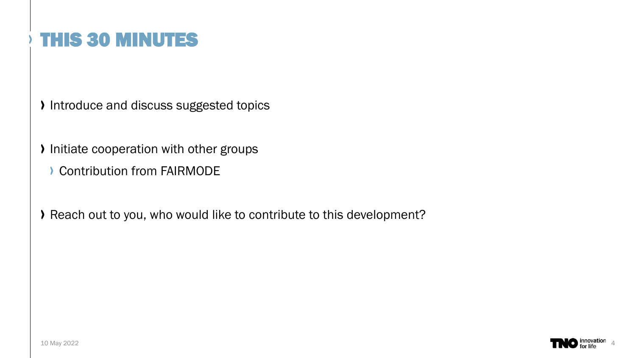Introduce and discuss suggested topics

Initiate cooperation with other groups

**Contribution from FAIRMODE** 

Reach out to you, who would like to contribute to this development?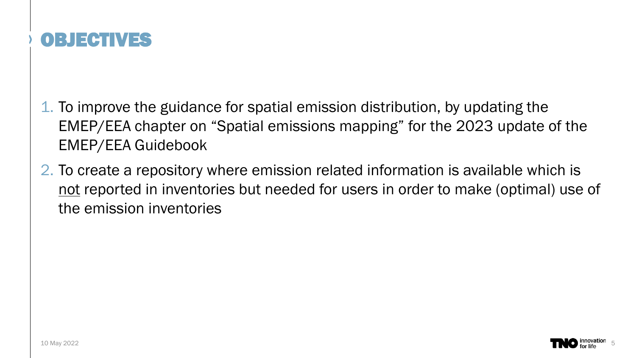

- 1. To improve the guidance for spatial emission distribution, by updating the EMEP/EEA chapter on "Spatial emissions mapping" for the 2023 update of the EMEP/EEA Guidebook
- 2. To create a repository where emission related information is available which is not reported in inventories but needed for users in order to make (optimal) use of the emission inventories

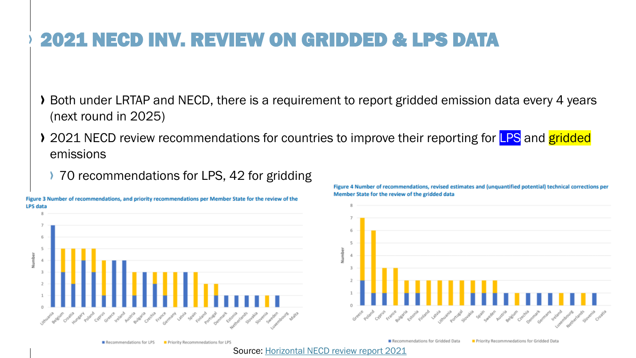### 2021 NECD INV. REVIEW ON GRIDDED & LPS DATA

- Both under LRTAP and NECD, there is a requirement to report gridded emission data every 4 years (next round in 2025)
- > 2021 NECD review recommendations for countries to improve their reporting for **LPS** and gridded emissions
	- ▶ 70 recommendations for LPS, 42 for gridding



Figure 4 Number of recommendations, revised estimates and (unquantified potential) technical corrections per Member State for the review of the gridded data



Recommendations for LPS Priority Recommnedations for LPS

Recommendations for Gridded Data Priority Recommnedations for Gridded Data

Source: [Horizontal NECD review report 2021](https://ec.europa.eu/environment/air/pdf/NECD_Review_2021_HorizontalR_FINAL.pdf)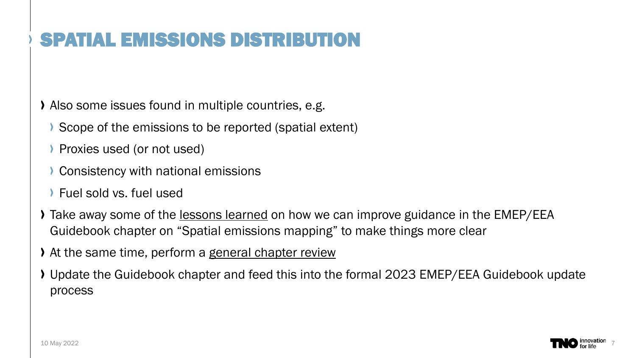Also some issues found in multiple countries, e.g.

- Scope of the emissions to be reported (spatial extent)
- Proxies used (or not used)
- Consistency with national emissions
- Fuel sold vs. fuel used
- Take away some of the lessons learned on how we can improve guidance in the EMEP/EEA Guidebook chapter on "Spatial emissions mapping" to make things more clear
- At the same time, perform a general chapter review
- Update the Guidebook chapter and feed this into the formal 2023 EMEP/EEA Guidebook update process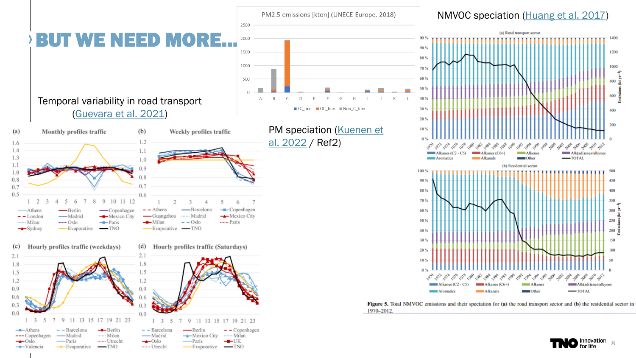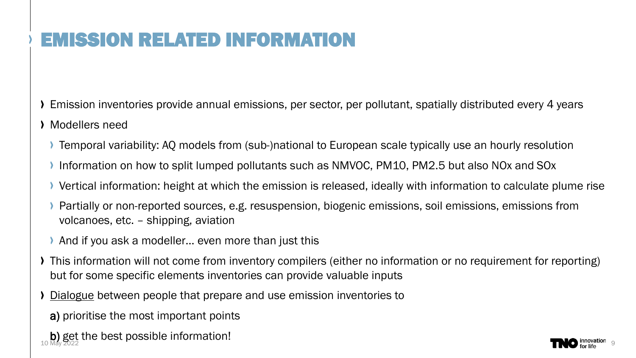- Emission inventories provide annual emissions, per sector, per pollutant, spatially distributed every 4 years
- Modellers need
	- Temporal variability: AQ models from (sub-)national to European scale typically use an hourly resolution
	- Information on how to split lumped pollutants such as NMVOC, PM10, PM2.5 but also NOx and SOx
	- Vertical information: height at which the emission is released, ideally with information to calculate plume rise
	- Partially or non-reported sources, e.g. resuspension, biogenic emissions, soil emissions, emissions from volcanoes, etc. – shipping, aviation
	- And if you ask a modeller… even more than just this
- This information will not come from inventory compilers (either no information or no requirement for reporting) but for some specific elements inventories can provide valuable inputs
- Dialogue between people that prepare and use emission inventories to
	- a) prioritise the most important points
- b) get the best possible information!

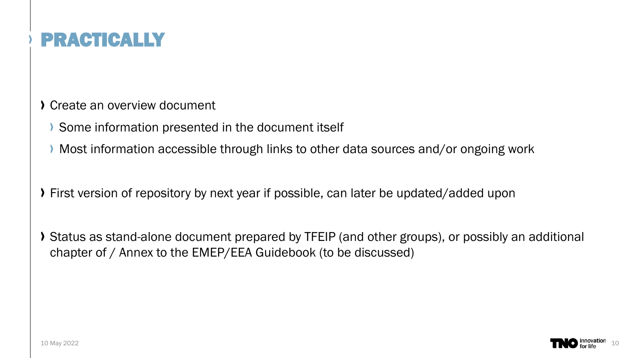

Create an overview document

- Some information presented in the document itself
- Most information accessible through links to other data sources and/or ongoing work
- First version of repository by next year if possible, can later be updated/added upon
- Status as stand-alone document prepared by TFEIP (and other groups), or possibly an additional chapter of / Annex to the EMEP/EEA Guidebook (to be discussed)

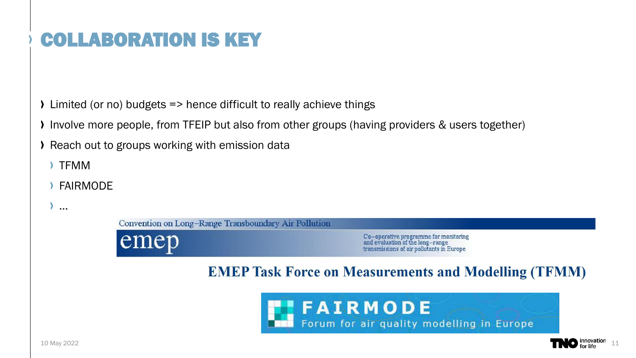Limited (or no) budgets => hence difficult to really achieve things

- Involve more people, from TFEIP but also from other groups (having providers & users together)
- **EXEC** Providue to groups working with emission data
	- TFMM

…

FAIRMODE

Convention on Long-Range Transboundary Air Pollution

emep

Co–operative programme for monitoring<br>and evaluation of the long–range<br>transmissions of air pollutants in Europe

#### **EMEP Task Force on Measurements and Modelling (TFMM)**



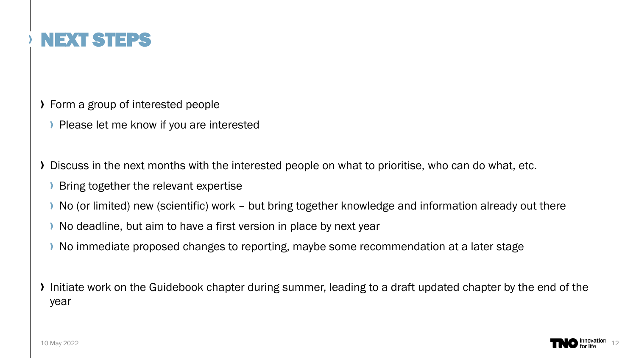

- Form a group of interested people
	- Please let me know if you are interested
- Discuss in the next months with the interested people on what to prioritise, who can do what, etc.
	- Bring together the relevant expertise
	- No (or limited) new (scientific) work but bring together knowledge and information already out there
	- No deadline, but aim to have a first version in place by next year
	- No immediate proposed changes to reporting, maybe some recommendation at a later stage

If Initiate work on the Guidebook chapter during summer, leading to a draft updated chapter by the end of the year